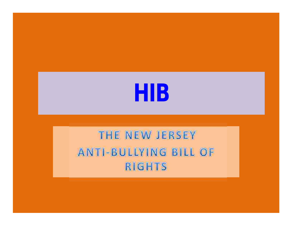# **HIB**

#### THE NEW JERSEY ANTI-BULLYING BILL OF **RIGHTS**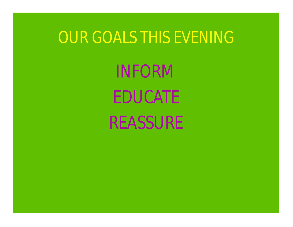# OUR GOALS THIS EVENING

INFORM EDUCATE REASSURE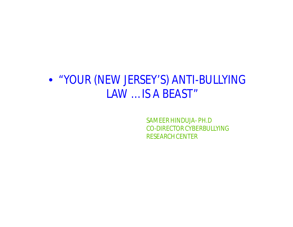#### • "YOUR (NEW JERSEY'S) ANTI-BULLYING LAW … IS A BEAST"

SAMEER HINDUJA- PH.D CO-DIRECTOR CYBERBULLYING RESEARCH CENTER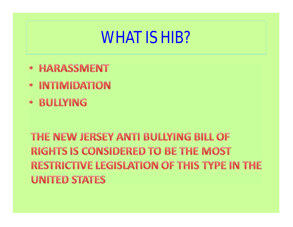# WHAT IS HIB?

- **HARASSMENT**  $\bullet$
- **INTIMIDATION**  $\bullet$
- · BULLYING

#### THE NEW JERSEY ANTI BULLYING BILL OF **RIGHTS IS CONSIDERED TO BE THE MOST RESTRICTIVE LEGISLATION OF THIS TYPE IN THE UNITED STATES**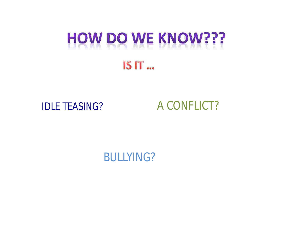# **HOW DO WE KNOW???**

#### **IS IT ...**

#### IDLE TEASING? A CONFLICT?

BULLYING?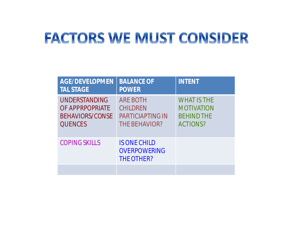## **FACTORS WE MUST CONSIDER**

| <b>AGE/DEVELOPMEN</b><br><b>TAL STAGE</b>                                           | <b>BALANCE OF</b><br><b>POWER</b>                                                     | <b>INTENT</b>                                                                   |
|-------------------------------------------------------------------------------------|---------------------------------------------------------------------------------------|---------------------------------------------------------------------------------|
| <b>UNDERSTANDING</b><br>OF APPRPOPRIATE<br><b>BEHAVIORS/CONSE</b><br><b>QUENCES</b> | <b>ARE BOTH</b><br><b>CHILDREN</b><br><b>PARTICIAPTING IN</b><br><b>THE BEHAVIOR?</b> | <b>WHAT IS THE</b><br><b>MOTIVATION</b><br><b>BEHIND THE</b><br><b>ACTIONS?</b> |
| <b>COPING SKILLS</b>                                                                | <b>IS ONE CHILD</b><br><b>OVERPOWERING</b><br>THE OTHER?                              |                                                                                 |
|                                                                                     |                                                                                       |                                                                                 |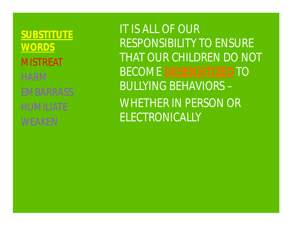**SUBSTITUTE WORDS** MISTREAT HARM EMBARRASS HUMILIATE WEAKEN

**BECOME DESENSITIZED TO** IT IS ALL OF OUR RESPONSIBILITY TO ENSURE THAT OUR CHILDREN DO NOT BULLYING BEHAVIORS – WHETHER IN PERSON OR ELECTRONICALLY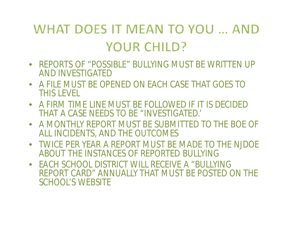## WHAT DOES IT MEAN TO YOU ... AND YOUR CHILD?

- REPORTS OF "POSSIBLE" BULLYING MUST BE WRITTEN UP AND INVESTIGATED
- A FILE MUST BE OPENED ON EACH CASE THAT GOES TO THIS LEVEL
- A FIRM TIME LINE MUST BE FOLLOWED IF IT IS DECIDED THAT A CASE NEEDS TO BE "INVESTIGATED.'
- A MONTHLY REPORT MUST BE SUBMITTED TO THE BOE OF ALL INCIDENTS, AND THE OUTCOMES
- TWICE PER YEAR A REPORT MUST BE MADE TO THE NJDOE ABOUT THE INSTANCES OF REPORTED BULLYING
- EACH SCHOOL DISTRICT WILL RECEIVE A "BULLYING REPORT CARD" ANNUALLY THAT MUST BE POSTED ON THE SCHOOL'S WEBSITE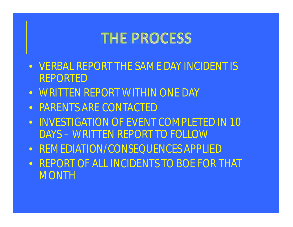#### **THE PROCESS**

- VERBAL REPORT THE SAME DAY INCIDENT IS REPORTED
- WRITTEN REPORT WITHIN ONE DAY
- PARENTS ARE CONTACTED
- $\bullet$  INVESTIGATION OF EVENT COMPLETED IN 10 DAYS – WRITTEN REPORT TO FOLLOW
- REMEDIATION/CONSEQUENCES APPLIED
- REPORT OF ALL INCIDENTS TO BOE FOR THAT **MONTH**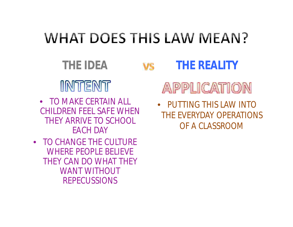# **WHAT DOES THIS LAW MEAN?**

**THE IDEA THE REALITY** INTENT

- TO MAKE CERTAIN ALL CHILDREN FEEL SAFE WHEN THEY ARRIVE TO SCHOOL EACH DAY
- TO CHANGE THE CULTURE WHERE PEOPLE BELIEVE THEY CAN DO WHAT THEY WANT WITHOUT REPECUSSIONS

#### APPLICATION

• PUTTING THIS LAW INTO THE EVERYDAY OPERATIONS OF A CLASSROOM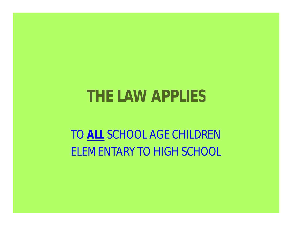# **THE LAW APPLIES**

TO **ALL** SCHOOL AGE CHILDREN ELEMENTARY TO HIGH SCHOOL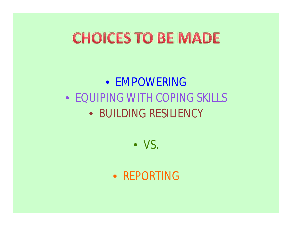# **CHOICES TO BE MADE**

• EMPOWERING • EQUIPING WITH COPING SKILLS • BUILDING RESILIENCY

• VS.

• REPORTING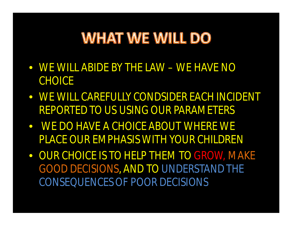## **WHAT WE WILL DO**

- WE WILL ABIDE BY THE LAW WE HAVE NO **CHOICE**
- WE WILL CAREFULLY CONDSIDER EACH INCIDENT REPORTED TO US USING OUR PARAMETERS
- WE DO HAVE A CHOICE ABOUT WHERE WE PLACE OUR EMPHASIS WITH YOUR CHILDREN
- OUR CHOICE IS TO HELP THEM TO GROW, MAKE GOOD DECISIONS, AND TO UNDERSTAND THE CONSEQUENCESOF POOR DECISIONS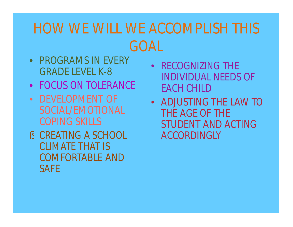## HOW WE WILL WE ACCOMPLISH THIS GOAL

- PROGRAMS IN EVERY GRADE LEVEL K-8
- FOCUS ON TOLERANCE •
- DEVELOPMENT OF SOCIAL/EMOTIONAL COPING SKILLS
- § CREATING A SCHOOL CLIMATE THAT IS COMFORTABLE AND **SAFE**
- RECOGNIZING THE INDIVIDUAL NEEDS OF EACH CHILD
- ADJUSTING THE LAW TO THE AGE OF THE STUDENT AND ACTING ACCORDINGLY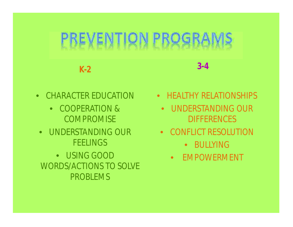#### GR REVEI IPR

**K-2**

**3-4**

- CHARACTER EDUCATION
	- COOPERATION & **COMPROMISE**
	- UNDERSTANDING OUR **FEELINGS**

• USING GOOD WORDS/ACTIONS TO SOLVE PROBLEMS

- HEALTHY RELATIONSHIPS
	- UNDERSTANDING OUR **DIFFERENCES**
	- CONFLICT RESOLUTION
		- BULLYING
		- $\bullet$ EMPOWERMENT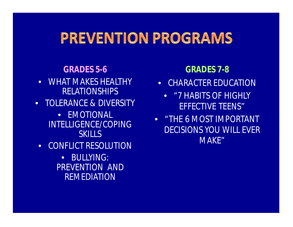#### **PREVENTION PROGRAMS**

#### **GRADES 5-6 GRADES 7-8**

- $\bullet$ WHAT MAKES HEALTHY RELATIONSHIPS
- TOLERANCE & DIVERSITY
	- EMOTIONAL INTELLIGENCE/COPING **SKILLS**
- CONFLICT RESOLUTION
	- $\bullet$ BULLYING: PREVENTION AND REMEDIATION

- CHARACTER EDUCATION
	- "7 HABITS OF HIGHLY EFFECTIVE TEENS"
- "THE 6 MOST IMPORTANT DECISIONS YOU WILL EVER MAKE"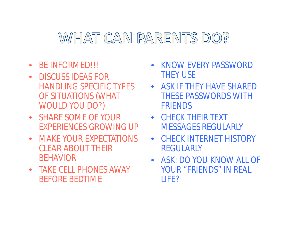#### WHAT CAN PARENTS DO?

- BE INFORMED!!!
- $\bullet$ DISCUSS IDEAS FOR HANDLING SPECIFIC TYPES OF SITUATIONS (WHAT WOULD YOU DO?)
- SHARE SOME OF YOUR EXPERIENCES GROWING UP
- MAKE YOUR EXPECTATIONS CLEAR ABOUT THEIR BEHAVIOR
- TAKE CELL PHONES AWAY BEFORE BEDTIME
- KNOW EVERY PASSWORD THEY USE
- ASK IF THEY HAVE SHARED THESE PASSWORDS WITH FRIENDS
- CHECK THEIR TEXT MESSAGES REGULARLY
- CHECK INTERNET HISTORY REGULARLY
- ASK: DO YOU KNOW ALL OF YOUR "FRIENDS" IN REAL LIFE?